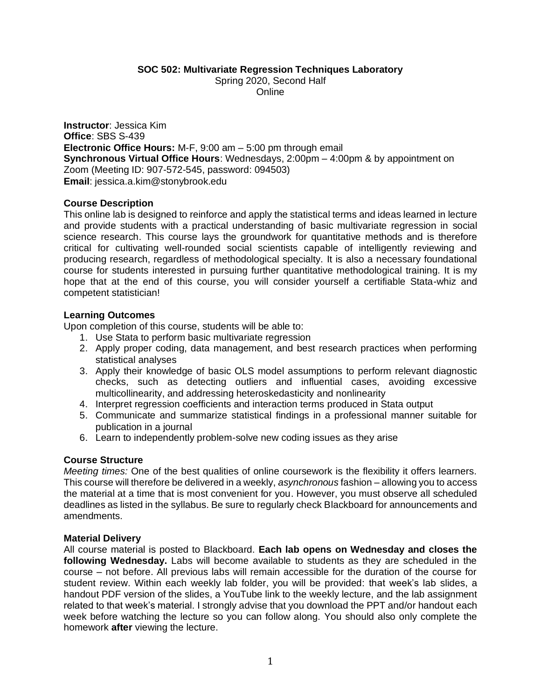**SOC 502: Multivariate Regression Techniques Laboratory**

Spring 2020, Second Half

Online

**Instructor**: Jessica Kim **Office**: SBS S-439 **Electronic Office Hours:** M-F, 9:00 am – 5:00 pm through email **Synchronous Virtual Office Hours:** Wednesdays, 2:00pm – 4:00pm & by appointment on Zoom (Meeting ID: 907-572-545, password: 094503) **Email**: jessica.a.kim@stonybrook.edu

### **Course Description**

This online lab is designed to reinforce and apply the statistical terms and ideas learned in lecture and provide students with a practical understanding of basic multivariate regression in social science research. This course lays the groundwork for quantitative methods and is therefore critical for cultivating well-rounded social scientists capable of intelligently reviewing and producing research, regardless of methodological specialty. It is also a necessary foundational course for students interested in pursuing further quantitative methodological training. It is my hope that at the end of this course, you will consider yourself a certifiable Stata-whiz and competent statistician!

### **Learning Outcomes**

Upon completion of this course, students will be able to:

- 1. Use Stata to perform basic multivariate regression
- 2. Apply proper coding, data management, and best research practices when performing statistical analyses
- 3. Apply their knowledge of basic OLS model assumptions to perform relevant diagnostic checks, such as detecting outliers and influential cases, avoiding excessive multicollinearity, and addressing heteroskedasticity and nonlinearity
- 4. Interpret regression coefficients and interaction terms produced in Stata output
- 5. Communicate and summarize statistical findings in a professional manner suitable for publication in a journal
- 6. Learn to independently problem-solve new coding issues as they arise

## **Course Structure**

*Meeting times:* One of the best qualities of online coursework is the flexibility it offers learners. This course will therefore be delivered in a weekly, *asynchronous* fashion *–* allowing you to access the material at a time that is most convenient for you. However, you must observe all scheduled deadlines as listed in the syllabus. Be sure to regularly check Blackboard for announcements and amendments.

### **Material Delivery**

All course material is posted to Blackboard. **Each lab opens on Wednesday and closes the following Wednesday.** Labs will become available to students as they are scheduled in the course – not before. All previous labs will remain accessible for the duration of the course for student review. Within each weekly lab folder, you will be provided: that week's lab slides, a handout PDF version of the slides, a YouTube link to the weekly lecture, and the lab assignment related to that week's material. I strongly advise that you download the PPT and/or handout each week before watching the lecture so you can follow along. You should also only complete the homework **after** viewing the lecture.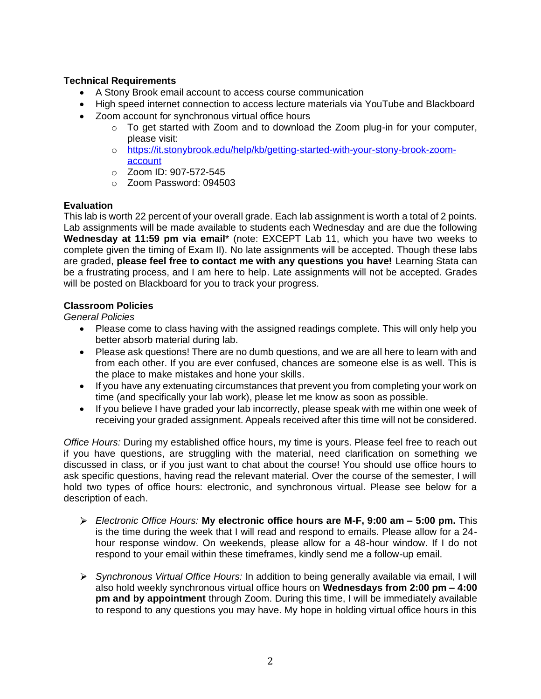# **Technical Requirements**

- A Stony Brook email account to access course communication
- High speed internet connection to access lecture materials via YouTube and Blackboard
- Zoom account for synchronous virtual office hours
	- $\circ$  To get started with Zoom and to download the Zoom plug-in for your computer, please visit:
	- o [https://it.stonybrook.edu/help/kb/getting-started-with-your-stony-brook-zoom](https://it.stonybrook.edu/help/kb/getting-started-with-your-stony-brook-zoom-account)[account](https://it.stonybrook.edu/help/kb/getting-started-with-your-stony-brook-zoom-account)
	- o Zoom ID: 907-572-545
	- o Zoom Password: 094503

## **Evaluation**

This lab is worth 22 percent of your overall grade. Each lab assignment is worth a total of 2 points. Lab assignments will be made available to students each Wednesday and are due the following **Wednesday at 11:59 pm via email**\* (note: EXCEPT Lab 11, which you have two weeks to complete given the timing of Exam II). No late assignments will be accepted. Though these labs are graded, **please feel free to contact me with any questions you have!** Learning Stata can be a frustrating process, and I am here to help. Late assignments will not be accepted. Grades will be posted on Blackboard for you to track your progress.

## **Classroom Policies**

*General Policies*

- Please come to class having with the assigned readings complete. This will only help you better absorb material during lab.
- Please ask questions! There are no dumb questions, and we are all here to learn with and from each other. If you are ever confused, chances are someone else is as well. This is the place to make mistakes and hone your skills.
- If you have any extenuating circumstances that prevent you from completing your work on time (and specifically your lab work), please let me know as soon as possible.
- If you believe I have graded your lab incorrectly, please speak with me within one week of receiving your graded assignment. Appeals received after this time will not be considered.

*Office Hours:* During my established office hours, my time is yours. Please feel free to reach out if you have questions, are struggling with the material, need clarification on something we discussed in class, or if you just want to chat about the course! You should use office hours to ask specific questions, having read the relevant material. Over the course of the semester, I will hold two types of office hours: electronic, and synchronous virtual. Please see below for a description of each.

- *Electronic Office Hours:* **My electronic office hours are M-F, 9:00 am – 5:00 pm.** This is the time during the week that I will read and respond to emails. Please allow for a 24 hour response window. On weekends, please allow for a 48-hour window. If I do not respond to your email within these timeframes, kindly send me a follow-up email.
- *Synchronous Virtual Office Hours:* In addition to being generally available via email, I will also hold weekly synchronous virtual office hours on **Wednesdays from 2:00 pm – 4:00 pm and by appointment** through Zoom. During this time, I will be immediately available to respond to any questions you may have. My hope in holding virtual office hours in this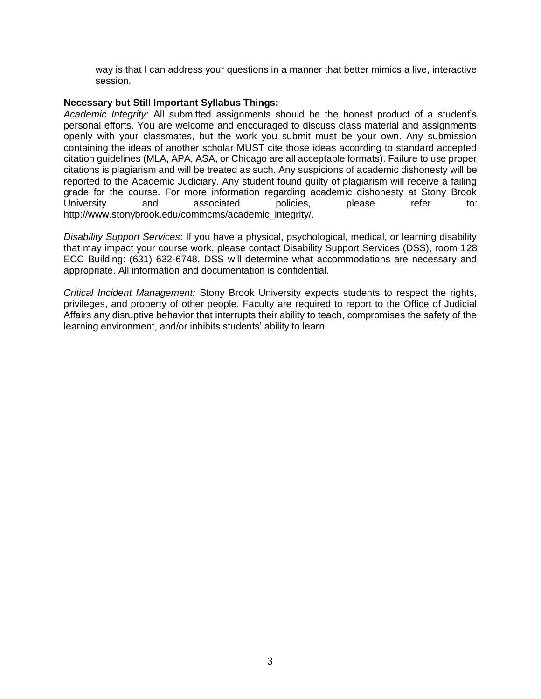way is that I can address your questions in a manner that better mimics a live, interactive session.

#### **Necessary but Still Important Syllabus Things:**

*Academic Integrity*: All submitted assignments should be the honest product of a student's personal efforts. You are welcome and encouraged to discuss class material and assignments openly with your classmates, but the work you submit must be your own. Any submission containing the ideas of another scholar MUST cite those ideas according to standard accepted citation guidelines (MLA, APA, ASA, or Chicago are all acceptable formats). Failure to use proper citations is plagiarism and will be treated as such. Any suspicions of academic dishonesty will be reported to the Academic Judiciary. Any student found guilty of plagiarism will receive a failing grade for the course. For more information regarding academic dishonesty at Stony Brook University and associated policies, please refer to: http://www.stonybrook.edu/commcms/academic\_integrity/.

*Disability Support Services*: If you have a physical, psychological, medical, or learning disability that may impact your course work, please contact Disability Support Services (DSS), room 128 ECC Building: (631) 632-6748. DSS will determine what accommodations are necessary and appropriate. All information and documentation is confidential.

*Critical Incident Management:* Stony Brook University expects students to respect the rights, privileges, and property of other people. Faculty are required to report to the Office of Judicial Affairs any disruptive behavior that interrupts their ability to teach, compromises the safety of the learning environment, and/or inhibits students' ability to learn.